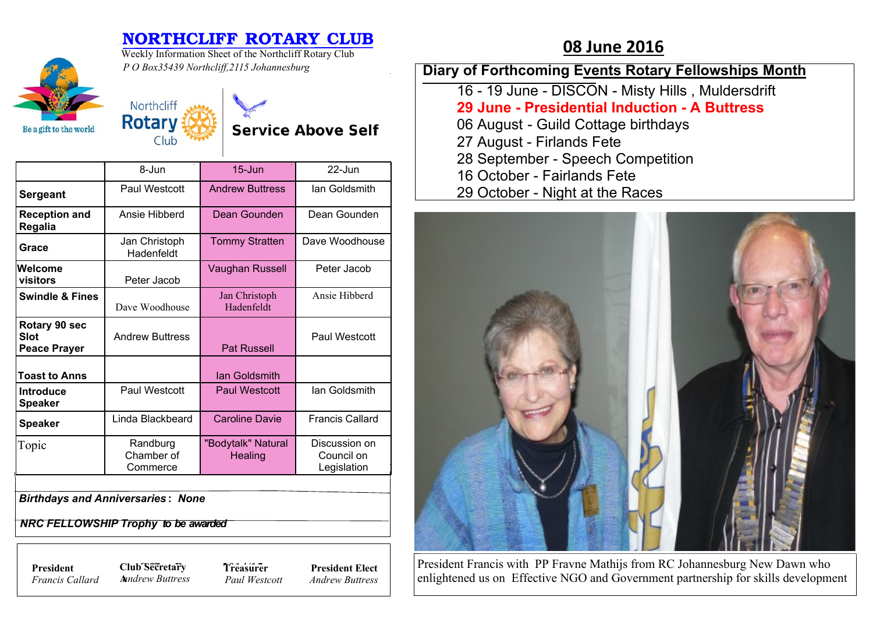## **NORTHCLIFF ROTARY CLUB** 08 June 2016



Weekly Information Sheet of the Northcliff Rotary Club *P O Box35439 Northcliff,2115 Johannesburg*



**Service Above Self** 

|                                                     | 8-Jun                              | $15 -$ Jun                    | $22 -$ Jun                                 |
|-----------------------------------------------------|------------------------------------|-------------------------------|--------------------------------------------|
| <b>Sergeant</b>                                     | Paul Westcott                      | <b>Andrew Buttress</b>        | lan Goldsmith                              |
| <b>Reception and</b><br>Regalia                     | Ansie Hibberd                      | Dean Gounden                  | Dean Gounden                               |
| Grace                                               | Jan Christoph<br>Hadenfeldt        | <b>Tommy Stratten</b>         | Dave Woodhouse                             |
| Welcome<br>visitors                                 | Peter Jacob                        | Vaughan Russell               | Peter Jacob                                |
| <b>Swindle &amp; Fines</b>                          | Dave Woodhouse                     | Jan Christoph<br>Hadenfeldt   | Ansie Hibberd                              |
| Rotary 90 sec<br><b>Slot</b><br><b>Peace Prayer</b> | <b>Andrew Buttress</b>             | <b>Pat Russell</b>            | Paul Westcott                              |
| <b>Toast to Anns</b>                                |                                    | lan Goldsmith                 |                                            |
| <b>Introduce</b><br><b>Speaker</b>                  | Paul Westcott                      | <b>Paul Westcott</b>          | lan Goldsmith                              |
| <b>Speaker</b>                                      | Linda Blackbeard                   | <b>Caroline Davie</b>         | <b>Francis Callard</b>                     |
| Topic                                               | Randburg<br>Chamber of<br>Commerce | "Bodytalk" Natural<br>Healing | Discussion on<br>Council on<br>Legislation |

*Birthdays and Anniversaries* **:** *None*

 *NRC FELLOWSHIP Trophy to be awarded*

*Francis Callard*

**President Club Secretary 7** *Treasure* **A***nndrew Buttress* **Treasurer**

*Paul Westcott* **President Elect** *Andrew Buttress*

**Diary of Forthcoming Events Rotary Fellowships Month**

- 16 19 June DISCON Misty Hills , Muldersdrift
- **29 June Presidential Induction A Buttress**
- 06 August Guild Cottage birthdays
- 27 August Firlands Fete
- 28 September Speech Competition
- 16 October Fairlands Fete
- 29 October Night at the Races



President Francis with PP Fravne Mathijs from RC Johannesburg New Dawn who enlightened us on Effective NGO and Government partnership for skills development